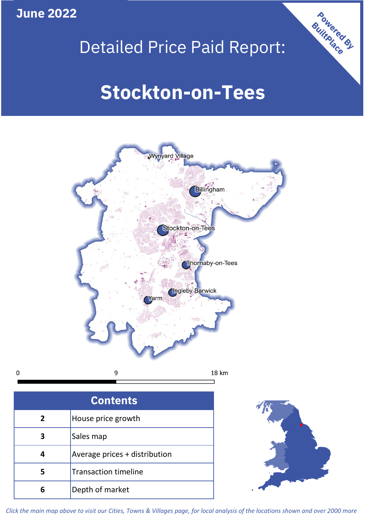**June 2022**

# Detailed Price Paid Report:

# **Stockton-on-Tees**



 $\mathbf 0$ 

| <b>Contents</b> |                               |  |  |  |
|-----------------|-------------------------------|--|--|--|
| 2               | House price growth            |  |  |  |
| 3               | Sales map                     |  |  |  |
| 4               | Average prices + distribution |  |  |  |
| 5               | <b>Transaction timeline</b>   |  |  |  |
| 6               | Depth of market               |  |  |  |



Powered By

*Click the main map above to visit our Cities, Towns & Villages page, for local analysis of the locations shown and over 2000 more*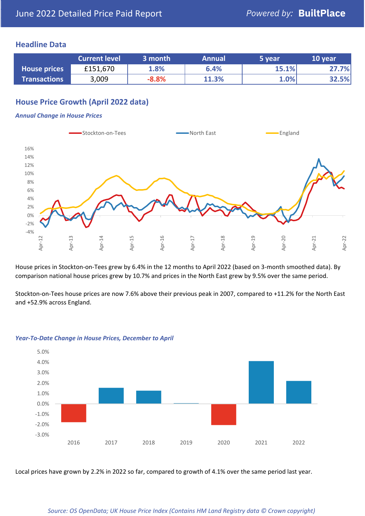### **Headline Data**

|                     | <b>Current level</b> | 3 month | <b>Annual</b> | 5 year | 10 year |
|---------------------|----------------------|---------|---------------|--------|---------|
| <b>House prices</b> | £151,670             | 1.8%    | 6.4%          | 15.1%  | 27.7%   |
| <b>Transactions</b> | 3,009                | $-8.8%$ | 11.3%         | 1.0%   | 32.5%   |

# **House Price Growth (April 2022 data)**

#### *Annual Change in House Prices*



House prices in Stockton-on-Tees grew by 6.4% in the 12 months to April 2022 (based on 3-month smoothed data). By comparison national house prices grew by 10.7% and prices in the North East grew by 9.5% over the same period.

Stockton-on-Tees house prices are now 7.6% above their previous peak in 2007, compared to +11.2% for the North East and +52.9% across England.



#### *Year-To-Date Change in House Prices, December to April*

Local prices have grown by 2.2% in 2022 so far, compared to growth of 4.1% over the same period last year.

#### *Source: OS OpenData; UK House Price Index (Contains HM Land Registry data © Crown copyright)*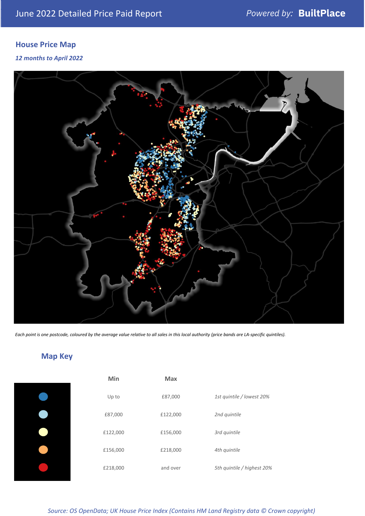# **House Price Map**

### *12 months to April 2022*



*Each point is one postcode, coloured by the average value relative to all sales in this local authority (price bands are LA-specific quintiles).*

# **Map Key**

| Min      | <b>Max</b> |                            |
|----------|------------|----------------------------|
| Up to    | £87,000    | 1st quintile / lowest 20%  |
| £87,000  | £122,000   | 2nd quintile               |
| £122,000 | £156,000   | 3rd quintile               |
| £156,000 | £218,000   | 4th quintile               |
| £218,000 | and over   | 5th quintile / highest 20% |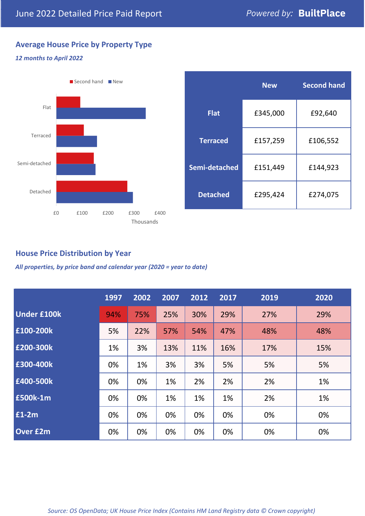# **Average House Price by Property Type**

### *12 months to April 2022*



|                 | <b>New</b> | <b>Second hand</b> |  |  |
|-----------------|------------|--------------------|--|--|
| <b>Flat</b>     | £345,000   | £92,640            |  |  |
| <b>Terraced</b> | £157,259   | £106,552           |  |  |
| Semi-detached   | £151,449   | £144,923           |  |  |
| <b>Detached</b> | £295,424   | £274,075           |  |  |

# **House Price Distribution by Year**

*All properties, by price band and calendar year (2020 = year to date)*

|                    | 1997 | 2002 | 2007 | 2012 | 2017 | 2019 | 2020 |
|--------------------|------|------|------|------|------|------|------|
| <b>Under £100k</b> | 94%  | 75%  | 25%  | 30%  | 29%  | 27%  | 29%  |
| £100-200k          | 5%   | 22%  | 57%  | 54%  | 47%  | 48%  | 48%  |
| E200-300k          | 1%   | 3%   | 13%  | 11%  | 16%  | 17%  | 15%  |
| £300-400k          | 0%   | 1%   | 3%   | 3%   | 5%   | 5%   | 5%   |
| £400-500k          | 0%   | 0%   | 1%   | 2%   | 2%   | 2%   | 1%   |
| <b>£500k-1m</b>    | 0%   | 0%   | 1%   | 1%   | 1%   | 2%   | 1%   |
| £1-2m              | 0%   | 0%   | 0%   | 0%   | 0%   | 0%   | 0%   |
| <b>Over £2m</b>    | 0%   | 0%   | 0%   | 0%   | 0%   | 0%   | 0%   |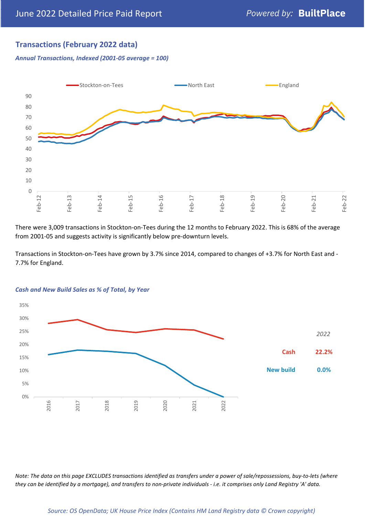# **Transactions (February 2022 data)**

*Annual Transactions, Indexed (2001-05 average = 100)*



There were 3,009 transactions in Stockton-on-Tees during the 12 months to February 2022. This is 68% of the average from 2001-05 and suggests activity is significantly below pre-downturn levels.

Transactions in Stockton-on-Tees have grown by 3.7% since 2014, compared to changes of +3.7% for North East and - 7.7% for England.



#### *Cash and New Build Sales as % of Total, by Year*

*Note: The data on this page EXCLUDES transactions identified as transfers under a power of sale/repossessions, buy-to-lets (where they can be identified by a mortgage), and transfers to non-private individuals - i.e. it comprises only Land Registry 'A' data.*